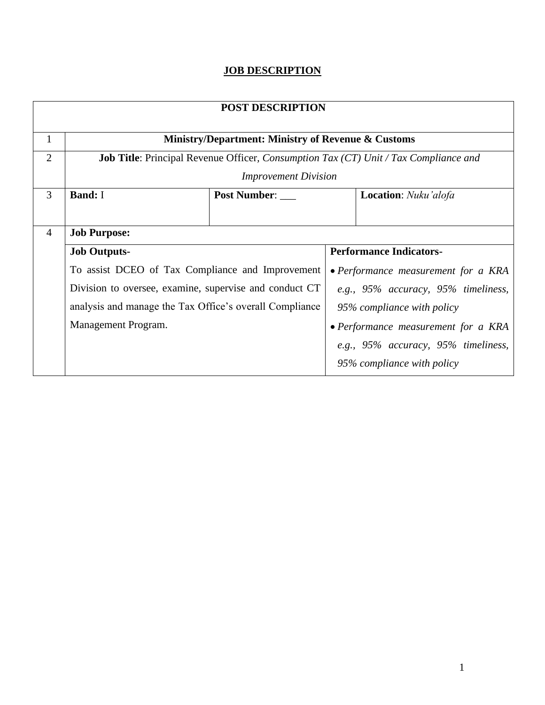## **JOB DESCRIPTION**

| <b>POST DESCRIPTION</b> |                                                               |              |                                                                                                    |
|-------------------------|---------------------------------------------------------------|--------------|----------------------------------------------------------------------------------------------------|
| $\mathbf{1}$            | <b>Ministry/Department: Ministry of Revenue &amp; Customs</b> |              |                                                                                                    |
| $\overline{2}$          |                                                               |              | <b>Job Title:</b> Principal Revenue Officer, <i>Consumption Tax (CT) Unit / Tax Compliance and</i> |
|                         | <b>Improvement Division</b>                                   |              |                                                                                                    |
| 3                       | <b>Band: I</b>                                                | Post Number: | <b>Location:</b> Nuku'alofa                                                                        |
|                         |                                                               |              |                                                                                                    |
| $\overline{4}$          | <b>Job Purpose:</b>                                           |              |                                                                                                    |
|                         | <b>Job Outputs-</b>                                           |              | <b>Performance Indicators-</b>                                                                     |
|                         | To assist DCEO of Tax Compliance and Improvement              |              | • Performance measurement for a KRA                                                                |
|                         | Division to oversee, examine, supervise and conduct CT        |              | e.g., 95% accuracy, 95% timeliness,                                                                |
|                         | analysis and manage the Tax Office's overall Compliance       |              | 95% compliance with policy                                                                         |
|                         | Management Program.                                           |              | • Performance measurement for a KRA                                                                |
|                         |                                                               |              | e.g., 95% accuracy, 95% timeliness,                                                                |
|                         |                                                               |              | 95% compliance with policy                                                                         |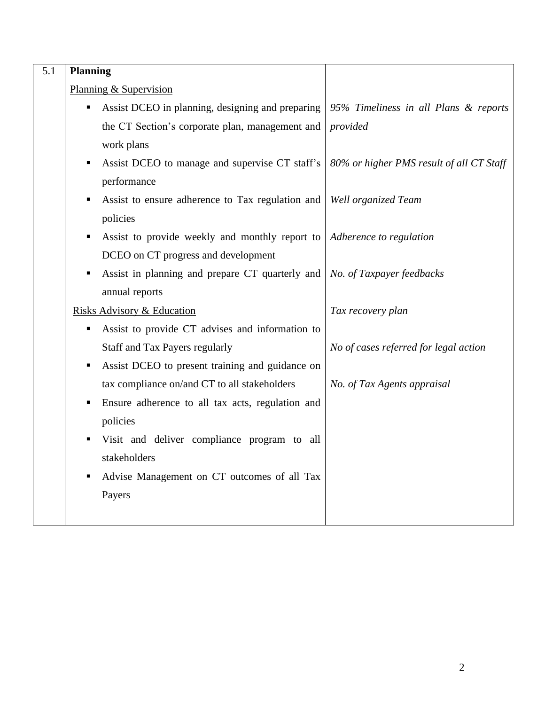| 5.1 | Planning                                         |                                          |
|-----|--------------------------------------------------|------------------------------------------|
|     | Planning & Supervision                           |                                          |
|     | Assist DCEO in planning, designing and preparing | 95% Timeliness in all Plans & reports    |
|     | the CT Section's corporate plan, management and  | provided                                 |
|     | work plans                                       |                                          |
|     | Assist DCEO to manage and supervise CT staff's   | 80% or higher PMS result of all CT Staff |
|     | performance                                      |                                          |
|     | Assist to ensure adherence to Tax regulation and | Well organized Team                      |
|     | policies                                         |                                          |
|     | Assist to provide weekly and monthly report to   | Adherence to regulation                  |
|     | DCEO on CT progress and development              |                                          |
|     | Assist in planning and prepare CT quarterly and  | No. of Taxpayer feedbacks                |
|     | annual reports                                   |                                          |
|     | <b>Risks Advisory &amp; Education</b>            | Tax recovery plan                        |
|     | Assist to provide CT advises and information to  |                                          |
|     | Staff and Tax Payers regularly                   | No of cases referred for legal action    |
|     | Assist DCEO to present training and guidance on  |                                          |
|     | tax compliance on/and CT to all stakeholders     | No. of Tax Agents appraisal              |
|     | Ensure adherence to all tax acts, regulation and |                                          |
|     | policies                                         |                                          |
|     | Visit and deliver compliance program to all      |                                          |
|     | stakeholders                                     |                                          |
|     | Advise Management on CT outcomes of all Tax      |                                          |
|     | Payers                                           |                                          |
|     |                                                  |                                          |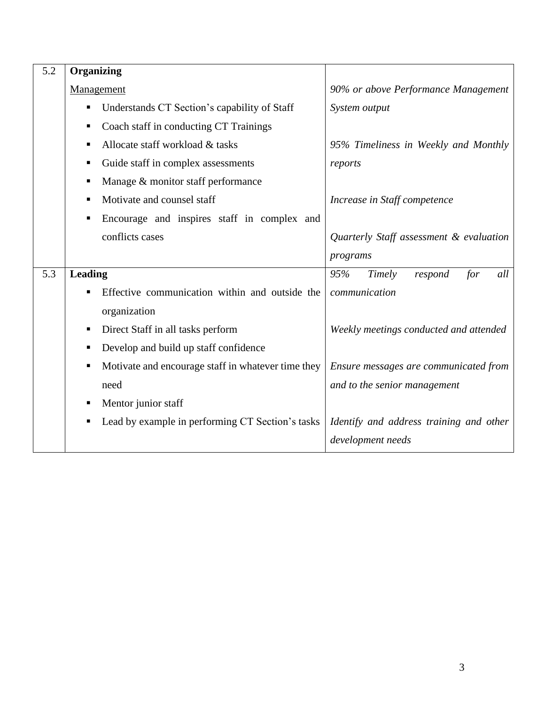| 5.2 | <b>Organizing</b>                                       |                                         |
|-----|---------------------------------------------------------|-----------------------------------------|
|     | Management                                              | 90% or above Performance Management     |
|     | Understands CT Section's capability of Staff<br>п       | System output                           |
|     | Coach staff in conducting CT Trainings<br>п             |                                         |
|     | Allocate staff workload & tasks<br>п                    | 95% Timeliness in Weekly and Monthly    |
|     | Guide staff in complex assessments<br>п                 | reports                                 |
|     | Manage & monitor staff performance<br>п                 |                                         |
|     | Motivate and counsel staff<br>п                         | Increase in Staff competence            |
|     | Encourage and inspires staff in complex and<br>п        |                                         |
|     | conflicts cases                                         | Quarterly Staff assessment & evaluation |
|     |                                                         | programs                                |
| 5.3 | <b>Leading</b>                                          | 95%<br>for<br>Timely<br>respond<br>all  |
|     | Effective communication within and outside the<br>п     | communication                           |
|     | organization                                            |                                         |
|     | Direct Staff in all tasks perform<br>п                  | Weekly meetings conducted and attended  |
|     | Develop and build up staff confidence<br>п              |                                         |
|     | Motivate and encourage staff in whatever time they<br>п | Ensure messages are communicated from   |
|     | need                                                    | and to the senior management            |
|     | Mentor junior staff<br>п                                |                                         |
|     | Lead by example in performing CT Section's tasks<br>п   | Identify and address training and other |
|     |                                                         | development needs                       |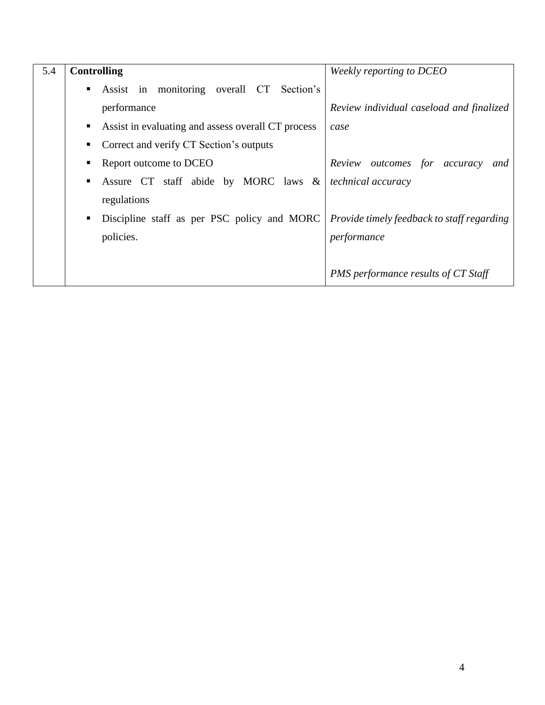| 5.4 | <b>Controlling</b> |                                                    | Weekly reporting to DCEO                   |
|-----|--------------------|----------------------------------------------------|--------------------------------------------|
|     | ٠                  | Assist in monitoring overall CT Section's          |                                            |
|     |                    | performance                                        | Review individual caseload and finalized   |
|     | п                  | Assist in evaluating and assess overall CT process | case                                       |
|     |                    | Correct and verify CT Section's outputs            |                                            |
|     |                    | Report outcome to DCEO                             | Review outcomes for accuracy<br>and        |
|     | п                  | Assure CT staff abide by MORC laws &               | <i>technical accuracy</i>                  |
|     |                    | regulations                                        |                                            |
|     | ٠                  | Discipline staff as per PSC policy and MORC        | Provide timely feedback to staff regarding |
|     |                    | policies.                                          | performance                                |
|     |                    |                                                    |                                            |
|     |                    |                                                    | PMS performance results of CT Staff        |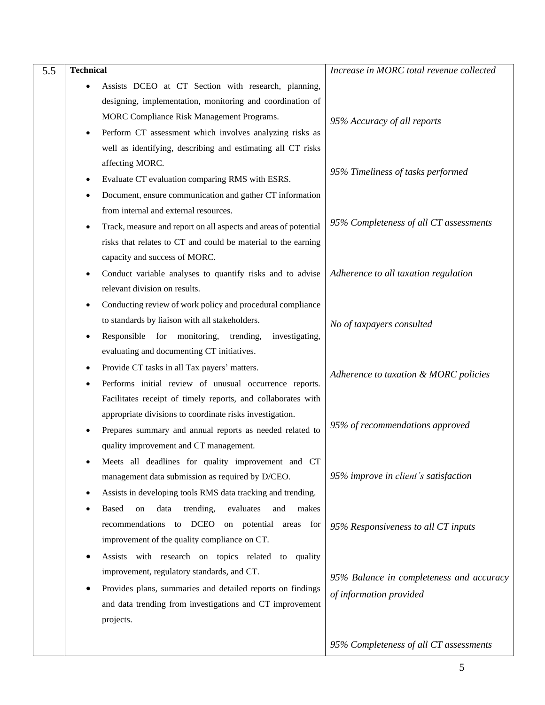| 5.5 | <b>Technical</b>                                                                                                                                                                                                         | Increase in MORC total revenue collected                            |
|-----|--------------------------------------------------------------------------------------------------------------------------------------------------------------------------------------------------------------------------|---------------------------------------------------------------------|
|     | Assists DCEO at CT Section with research, planning,<br>designing, implementation, monitoring and coordination of<br>MORC Compliance Risk Management Programs.<br>Perform CT assessment which involves analyzing risks as | 95% Accuracy of all reports                                         |
|     | well as identifying, describing and estimating all CT risks<br>affecting MORC.<br>Evaluate CT evaluation comparing RMS with ESRS.<br>Document, ensure communication and gather CT information                            | 95% Timeliness of tasks performed                                   |
|     | from internal and external resources.<br>Track, measure and report on all aspects and areas of potential<br>risks that relates to CT and could be material to the earning                                                | 95% Completeness of all CT assessments                              |
|     | capacity and success of MORC.<br>Conduct variable analyses to quantify risks and to advise<br>relevant division on results.<br>Conducting review of work policy and procedural compliance                                | Adherence to all taxation regulation                                |
|     | to standards by liaison with all stakeholders.<br>Responsible for monitoring,<br>investigating,<br>trending,<br>evaluating and documenting CT initiatives.                                                               | No of taxpayers consulted                                           |
|     | Provide CT tasks in all Tax payers' matters.<br>Performs initial review of unusual occurrence reports.<br>Facilitates receipt of timely reports, and collaborates with                                                   | Adherence to taxation & MORC policies                               |
|     | appropriate divisions to coordinate risks investigation.<br>Prepares summary and annual reports as needed related to<br>quality improvement and CT management.<br>Meets all deadlines for quality improvement and CT     | 95% of recommendations approved                                     |
|     | management data submission as required by D/CEO.<br>Assists in developing tools RMS data tracking and trending.<br><b>Based</b><br>trending,<br>evaluates<br>and<br>makes<br>on<br>data                                  | 95% improve in client's satisfaction                                |
|     | recommendations to DCEO<br>on potential areas for<br>improvement of the quality compliance on CT.<br>Assists with research on topics related to quality                                                                  | 95% Responsiveness to all CT inputs                                 |
|     | improvement, regulatory standards, and CT.<br>Provides plans, summaries and detailed reports on findings<br>and data trending from investigations and CT improvement<br>projects.                                        | 95% Balance in completeness and accuracy<br>of information provided |
|     |                                                                                                                                                                                                                          | 95% Completeness of all CT assessments                              |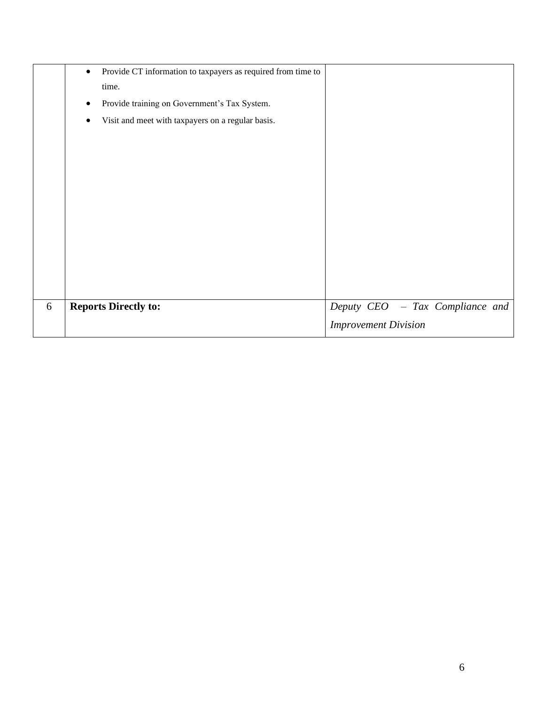|   | Provide CT information to taxpayers as required from time to<br>$\bullet$ |                                 |
|---|---------------------------------------------------------------------------|---------------------------------|
|   | time.                                                                     |                                 |
|   | Provide training on Government's Tax System.                              |                                 |
|   | Visit and meet with taxpayers on a regular basis.                         |                                 |
|   |                                                                           |                                 |
|   |                                                                           |                                 |
|   |                                                                           |                                 |
|   |                                                                           |                                 |
|   |                                                                           |                                 |
|   |                                                                           |                                 |
|   |                                                                           |                                 |
|   |                                                                           |                                 |
|   |                                                                           |                                 |
|   |                                                                           |                                 |
| 6 | <b>Reports Directly to:</b>                                               | Deputy CEO - Tax Compliance and |
|   |                                                                           | <b>Improvement Division</b>     |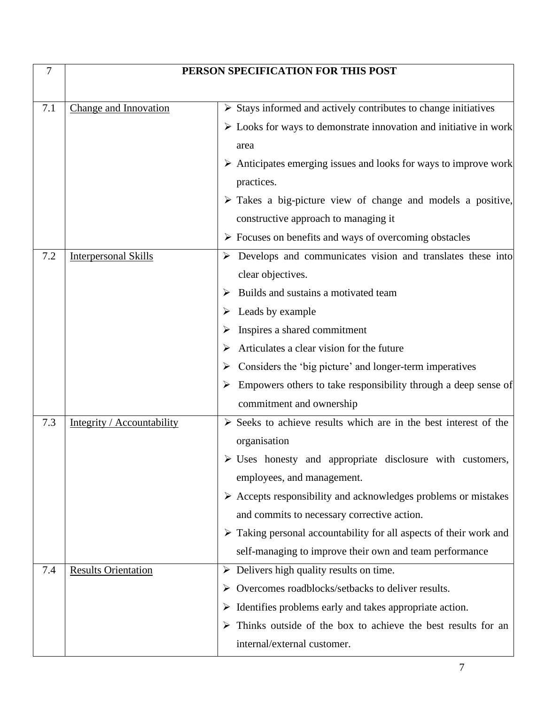| 7   | PERSON SPECIFICATION FOR THIS POST |                                                                                   |
|-----|------------------------------------|-----------------------------------------------------------------------------------|
| 7.1 | <b>Change and Innovation</b>       | $\triangleright$ Stays informed and actively contributes to change initiatives    |
|     |                                    | $\triangleright$ Looks for ways to demonstrate innovation and initiative in work  |
|     |                                    | area                                                                              |
|     |                                    | $\triangleright$ Anticipates emerging issues and looks for ways to improve work   |
|     |                                    | practices.                                                                        |
|     |                                    | $\triangleright$ Takes a big-picture view of change and models a positive,        |
|     |                                    | constructive approach to managing it                                              |
|     |                                    | $\triangleright$ Focuses on benefits and ways of overcoming obstacles             |
| 7.2 | <b>Interpersonal Skills</b>        | $\triangleright$ Develops and communicates vision and translates these into       |
|     |                                    | clear objectives.                                                                 |
|     |                                    | Builds and sustains a motivated team                                              |
|     |                                    | Leads by example                                                                  |
|     |                                    | Inspires a shared commitment                                                      |
|     |                                    | Articulates a clear vision for the future                                         |
|     |                                    | Considers the 'big picture' and longer-term imperatives<br>➤                      |
|     |                                    | Empowers others to take responsibility through a deep sense of                    |
|     |                                    | commitment and ownership                                                          |
| 7.3 | Integrity / Accountability         | $\triangleright$ Seeks to achieve results which are in the best interest of the   |
|     |                                    | organisation                                                                      |
|     |                                    | $\triangleright$ Uses honesty and appropriate disclosure with customers,          |
|     |                                    | employees, and management.                                                        |
|     |                                    | $\triangleright$ Accepts responsibility and acknowledges problems or mistakes     |
|     |                                    | and commits to necessary corrective action.                                       |
|     |                                    | $\triangleright$ Taking personal accountability for all aspects of their work and |
|     |                                    | self-managing to improve their own and team performance                           |
| 7.4 | <b>Results Orientation</b>         | $\triangleright$ Delivers high quality results on time.                           |
|     |                                    | Overcomes roadblocks/setbacks to deliver results.<br>➤                            |
|     |                                    | $\triangleright$ Identifies problems early and takes appropriate action.          |
|     |                                    | Thinks outside of the box to achieve the best results for an<br>➤                 |
|     |                                    | internal/external customer.                                                       |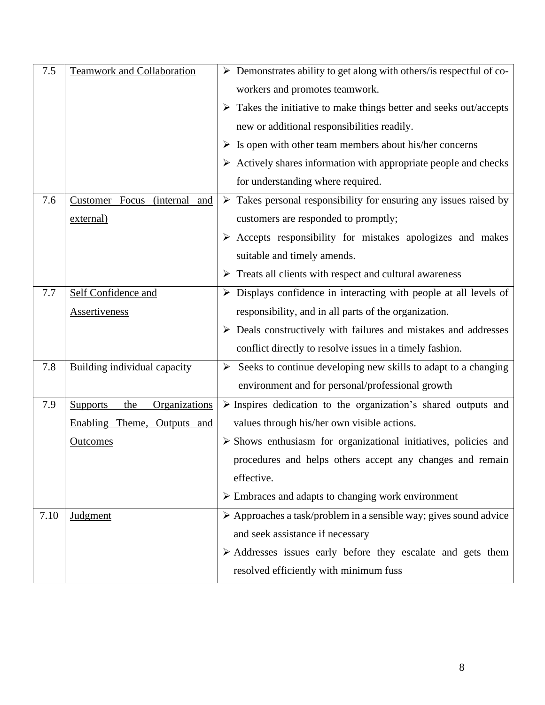| 7.5  | <b>Teamwork and Collaboration</b>                 | $\triangleright$ Demonstrates ability to get along with others/is respectful of co- |
|------|---------------------------------------------------|-------------------------------------------------------------------------------------|
|      |                                                   | workers and promotes teamwork.                                                      |
|      |                                                   | $\triangleright$ Takes the initiative to make things better and seeks out/accepts   |
|      |                                                   | new or additional responsibilities readily.                                         |
|      |                                                   | $\triangleright$ Is open with other team members about his/her concerns             |
|      |                                                   | $\triangleright$ Actively shares information with appropriate people and checks     |
|      |                                                   | for understanding where required.                                                   |
| 7.6  | Customer Focus<br><i>(internal)</i><br><u>and</u> | $\triangleright$ Takes personal responsibility for ensuring any issues raised by    |
|      | external)                                         | customers are responded to promptly;                                                |
|      |                                                   | $\triangleright$ Accepts responsibility for mistakes apologizes and makes           |
|      |                                                   | suitable and timely amends.                                                         |
|      |                                                   | $\triangleright$ Treats all clients with respect and cultural awareness             |
| 7.7  | Self Confidence and                               | $\triangleright$ Displays confidence in interacting with people at all levels of    |
|      | <b>Assertiveness</b>                              | responsibility, and in all parts of the organization.                               |
|      |                                                   | $\triangleright$ Deals constructively with failures and mistakes and addresses      |
|      |                                                   | conflict directly to resolve issues in a timely fashion.                            |
| 7.8  | <b>Building individual capacity</b>               | Seeks to continue developing new skills to adapt to a changing                      |
|      |                                                   | environment and for personal/professional growth                                    |
| 7.9  | Organizations<br><b>Supports</b><br>the           | $\triangleright$ Inspires dedication to the organization's shared outputs and       |
|      | Enabling Theme, Outputs and                       | values through his/her own visible actions.                                         |
|      | <b>Outcomes</b>                                   | $\triangleright$ Shows enthusiasm for organizational initiatives, policies and      |
|      |                                                   | procedures and helps others accept any changes and remain                           |
|      |                                                   | effective.                                                                          |
|      |                                                   | $\triangleright$ Embraces and adapts to changing work environment                   |
| 7.10 | <b>Judgment</b>                                   | > Approaches a task/problem in a sensible way; gives sound advice                   |
|      |                                                   | and seek assistance if necessary                                                    |
|      |                                                   | $\triangleright$ Addresses issues early before they escalate and gets them          |
|      |                                                   | resolved efficiently with minimum fuss                                              |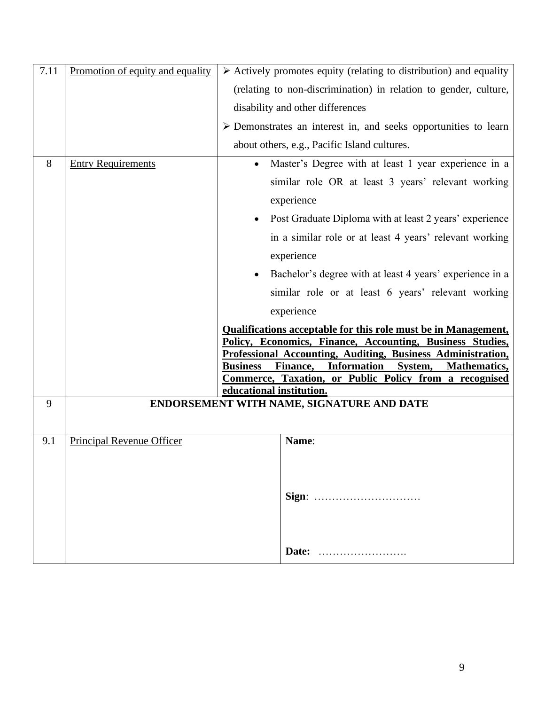| 7.11 | Promotion of equity and equality | $\triangleright$ Actively promotes equity (relating to distribution) and equality                                               |
|------|----------------------------------|---------------------------------------------------------------------------------------------------------------------------------|
|      |                                  | (relating to non-discrimination) in relation to gender, culture,                                                                |
|      |                                  | disability and other differences                                                                                                |
|      |                                  | $\triangleright$ Demonstrates an interest in, and seeks opportunities to learn                                                  |
|      |                                  | about others, e.g., Pacific Island cultures.                                                                                    |
| 8    | <b>Entry Requirements</b>        | Master's Degree with at least 1 year experience in a<br>$\bullet$                                                               |
|      |                                  | similar role OR at least 3 years' relevant working                                                                              |
|      |                                  | experience                                                                                                                      |
|      |                                  | • Post Graduate Diploma with at least 2 years' experience                                                                       |
|      |                                  | in a similar role or at least 4 years' relevant working                                                                         |
|      |                                  | experience                                                                                                                      |
|      |                                  | Bachelor's degree with at least 4 years' experience in a                                                                        |
|      |                                  | similar role or at least 6 years' relevant working                                                                              |
|      |                                  | experience                                                                                                                      |
|      |                                  | <b>Qualifications acceptable for this role must be in Management,</b>                                                           |
|      |                                  | Policy, Economics, Finance, Accounting, Business Studies,<br><b>Professional Accounting, Auditing, Business Administration,</b> |
|      |                                  | Finance, Information<br>System,<br><b>Business</b><br><b>Mathematics,</b>                                                       |
|      |                                  | Commerce, Taxation, or Public Policy from a recognised<br>educational institution.                                              |
| 9    |                                  | ENDORSEMENT WITH NAME, SIGNATURE AND DATE                                                                                       |
|      |                                  |                                                                                                                                 |
| 9.1  | <b>Principal Revenue Officer</b> | Name:                                                                                                                           |
|      |                                  |                                                                                                                                 |
|      |                                  |                                                                                                                                 |
|      |                                  | Sign:                                                                                                                           |
|      |                                  |                                                                                                                                 |
|      |                                  |                                                                                                                                 |
|      |                                  | Date:                                                                                                                           |